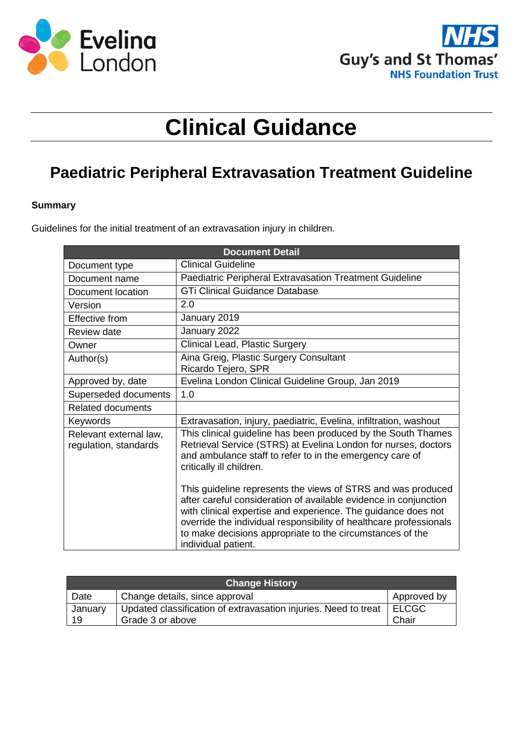



# **Clinical Guidance**

# **Paediatric Peripheral Extravasation Treatment Guideline**

#### **Summary**

Guidelines for the initial treatment of an extravasation injury in children.

| <b>Document Detail</b>                          |                                                                                                                                                                                                                                                                                                                                                             |  |  |
|-------------------------------------------------|-------------------------------------------------------------------------------------------------------------------------------------------------------------------------------------------------------------------------------------------------------------------------------------------------------------------------------------------------------------|--|--|
| Document type                                   | <b>Clinical Guideline</b>                                                                                                                                                                                                                                                                                                                                   |  |  |
| Document name                                   | Paediatric Peripheral Extravasation Treatment Guideline                                                                                                                                                                                                                                                                                                     |  |  |
| Document location                               | <b>GTi Clinical Guidance Database</b>                                                                                                                                                                                                                                                                                                                       |  |  |
| Version                                         | 2.0                                                                                                                                                                                                                                                                                                                                                         |  |  |
| <b>Effective from</b>                           | January 2019                                                                                                                                                                                                                                                                                                                                                |  |  |
| <b>Review date</b>                              | January 2022                                                                                                                                                                                                                                                                                                                                                |  |  |
| Owner                                           | Clinical Lead, Plastic Surgery                                                                                                                                                                                                                                                                                                                              |  |  |
| Author(s)                                       | Aina Greig, Plastic Surgery Consultant<br>Ricardo Tejero, SPR                                                                                                                                                                                                                                                                                               |  |  |
| Approved by, date                               | Evelina London Clinical Guideline Group, Jan 2019                                                                                                                                                                                                                                                                                                           |  |  |
| Superseded documents                            | 1.0                                                                                                                                                                                                                                                                                                                                                         |  |  |
| <b>Related documents</b>                        |                                                                                                                                                                                                                                                                                                                                                             |  |  |
| Keywords                                        | Extravasation, injury, paediatric, Evelina, infiltration, washout                                                                                                                                                                                                                                                                                           |  |  |
| Relevant external law,<br>regulation, standards | This clinical guideline has been produced by the South Thames<br>Retrieval Service (STRS) at Evelina London for nurses, doctors<br>and ambulance staff to refer to in the emergency care of<br>critically ill children.                                                                                                                                     |  |  |
|                                                 | This guideline represents the views of STRS and was produced<br>after careful consideration of available evidence in conjunction<br>with clinical expertise and experience. The guidance does not<br>override the individual responsibility of healthcare professionals<br>to make decisions appropriate to the circumstances of the<br>individual patient. |  |  |

| <b>Change History</b> |                                                                 |              |  |  |
|-----------------------|-----------------------------------------------------------------|--------------|--|--|
| Date                  | Change details, since approval                                  | Approved by  |  |  |
| January               | Updated classification of extravasation injuries. Need to treat | <b>ELCGC</b> |  |  |
| 19                    | Grade 3 or above                                                | Chair        |  |  |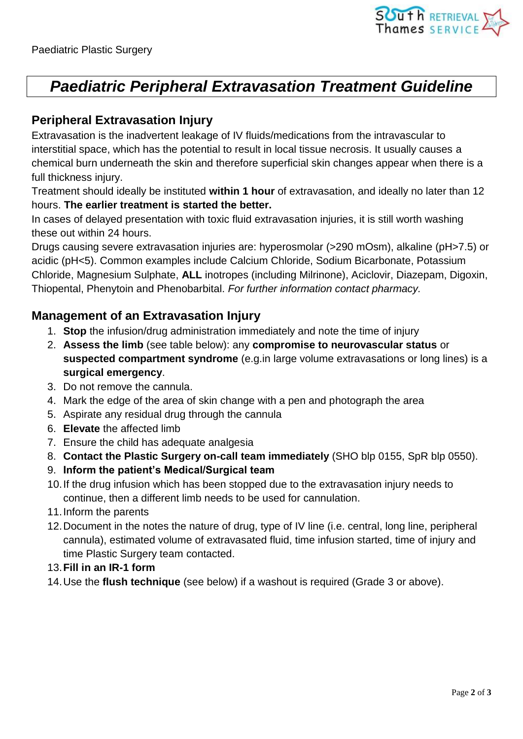# *Paediatric Peripheral Extravasation Treatment Guideline*

### **Peripheral Extravasation Injury**

Extravasation is the inadvertent leakage of IV fluids/medications from the intravascular to interstitial space, which has the potential to result in local tissue necrosis. It usually causes a chemical burn underneath the skin and therefore superficial skin changes appear when there is a full thickness injury.

Treatment should ideally be instituted **within 1 hour** of extravasation, and ideally no later than 12 hours. **The earlier treatment is started the better.**

In cases of delayed presentation with toxic fluid extravasation injuries, it is still worth washing these out within 24 hours.

Drugs causing severe extravasation injuries are: hyperosmolar (>290 mOsm), alkaline (pH>7.5) or acidic (pH<5). Common examples include Calcium Chloride, Sodium Bicarbonate, Potassium Chloride, Magnesium Sulphate, **ALL** inotropes (including Milrinone), Aciclovir, Diazepam, Digoxin, Thiopental, Phenytoin and Phenobarbital. *For further information contact pharmacy.*

## **Management of an Extravasation Injury**

- 1. **Stop** the infusion/drug administration immediately and note the time of injury
- 2. **Assess the limb** (see table below): any **compromise to neurovascular status** or **suspected compartment syndrome** (e.g.in large volume extravasations or long lines) is a **surgical emergency**.
- 3. Do not remove the cannula.
- 4. Mark the edge of the area of skin change with a pen and photograph the area
- 5. Aspirate any residual drug through the cannula
- 6. **Elevate** the affected limb
- 7. Ensure the child has adequate analgesia
- 8. **Contact the Plastic Surgery on-call team immediately** (SHO blp 0155, SpR blp 0550).
- 9. **Inform the patient's Medical/Surgical team**
- 10.If the drug infusion which has been stopped due to the extravasation injury needs to continue, then a different limb needs to be used for cannulation.
- 11.Inform the parents
- 12.Document in the notes the nature of drug, type of IV line (i.e. central, long line, peripheral cannula), estimated volume of extravasated fluid, time infusion started, time of injury and time Plastic Surgery team contacted.
- 13.**Fill in an IR-1 form**
- 14.Use the **flush technique** (see below) if a washout is required (Grade 3 or above).